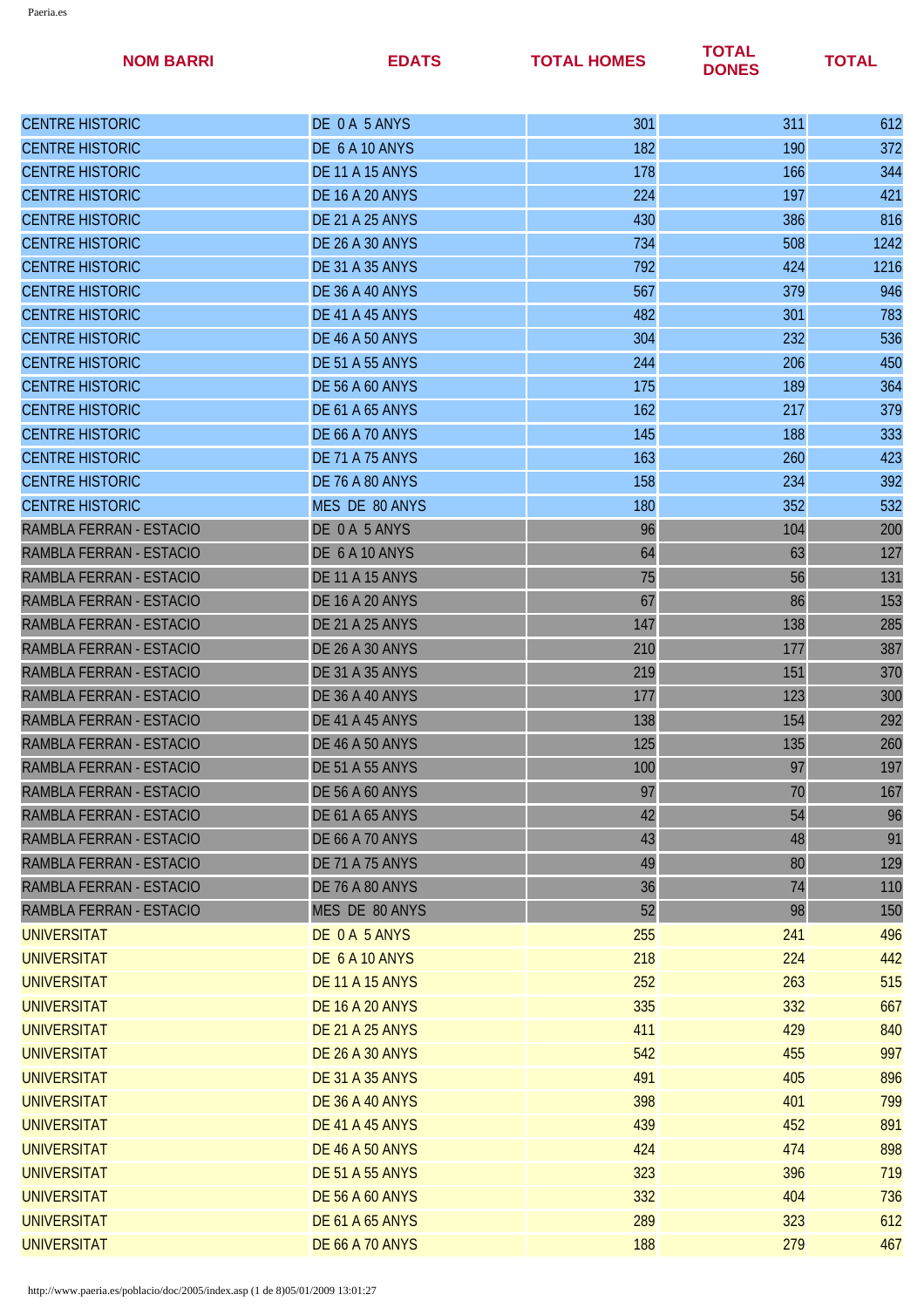| <b>NOM BARRI</b>        | <b>EDATS</b>           | <b>TOTAL HOMES</b> | <b>TOTAL</b><br><b>DONES</b> | <b>TOTAL</b> |
|-------------------------|------------------------|--------------------|------------------------------|--------------|
| <b>CENTRE HISTORIC</b>  | DE 0 A 5 ANYS          | 301                | 311                          | 612          |
| <b>CENTRE HISTORIC</b>  | DE 6 A 10 ANYS         | 182                | 190                          | 372          |
| <b>CENTRE HISTORIC</b>  | <b>DE 11 A 15 ANYS</b> | 178                | 166                          | 344          |
| <b>CENTRE HISTORIC</b>  | <b>DE 16 A 20 ANYS</b> | 224                | 197                          | 421          |
| <b>CENTRE HISTORIC</b>  | <b>DE 21 A 25 ANYS</b> | 430                | 386                          | 816          |
| <b>CENTRE HISTORIC</b>  | <b>DE 26 A 30 ANYS</b> | 734                | 508                          | 1242         |
| <b>CENTRE HISTORIC</b>  | <b>DE 31 A 35 ANYS</b> | 792                | 424                          | 1216         |
| <b>CENTRE HISTORIC</b>  | <b>DE 36 A 40 ANYS</b> | 567                | 379                          | 946          |
| <b>CENTRE HISTORIC</b>  | DE 41 A 45 ANYS        | 482                | 301                          | 783          |
| <b>CENTRE HISTORIC</b>  | <b>DE 46 A 50 ANYS</b> | 304                | 232                          | 536          |
| <b>CENTRE HISTORIC</b>  | <b>DE 51 A 55 ANYS</b> | 244                | 206                          | 450          |
| <b>CENTRE HISTORIC</b>  | <b>DE 56 A 60 ANYS</b> | 175                | 189                          | 364          |
| <b>CENTRE HISTORIC</b>  | <b>DE 61 A 65 ANYS</b> | 162                | 217                          | 379          |
| <b>CENTRE HISTORIC</b>  | <b>DE 66 A 70 ANYS</b> | 145                | 188                          | 333          |
| <b>CENTRE HISTORIC</b>  | <b>DE 71 A 75 ANYS</b> | 163                | 260                          | 423          |
| <b>CENTRE HISTORIC</b>  | <b>DE 76 A 80 ANYS</b> | 158                | 234                          | 392          |
| <b>CENTRE HISTORIC</b>  | MES DE 80 ANYS         | 180                | 352                          | 532          |
| RAMBLA FERRAN - ESTACIO | DE 0 A 5 ANYS          | 96                 | 104                          | 200          |
| RAMBLA FERRAN - ESTACIO | DE 6 A 10 ANYS         | 64                 | 63                           | 127          |
| RAMBLA FERRAN - ESTACIO | <b>DE 11 A 15 ANYS</b> | 75                 | 56                           | 131          |
| RAMBLA FERRAN - ESTACIO | <b>DE 16 A 20 ANYS</b> | 67                 | 86                           | 153          |
| RAMBLA FERRAN - ESTACIO | <b>DE 21 A 25 ANYS</b> | 147                | 138                          | 285          |
| RAMBLA FERRAN - ESTACIO | <b>DE 26 A 30 ANYS</b> | 210                | 177                          | 387          |
| RAMBLA FERRAN - ESTACIO | <b>DE 31 A 35 ANYS</b> | 219                | 151                          | 370          |
| RAMBLA FERRAN - ESTACIO | <b>DE 36 A 40 ANYS</b> | 177                | 123                          | 300          |
| RAMBLA FERRAN - ESTACIO | DE 41 A 45 ANYS        | 138                | 154                          | 292          |
| RAMBLA FERRAN - ESTACIO | <b>DE 46 A 50 ANYS</b> | 125                | 135                          | 260          |
| RAMBLA FERRAN - ESTACIO | <b>DE 51 A 55 ANYS</b> | 100                | 97                           | 197          |
| RAMBLA FERRAN - ESTACIO | <b>DE 56 A 60 ANYS</b> | 97                 | 70                           | 167          |
| RAMBLA FERRAN - ESTACIO | <b>DE 61 A 65 ANYS</b> | 42                 | 54                           | 96           |
| RAMBLA FERRAN - ESTACIO | <b>DE 66 A 70 ANYS</b> | 43                 | 48                           | 91           |
| RAMBLA FERRAN - ESTACIO | <b>DE 71 A 75 ANYS</b> | 49                 | 80                           | 129          |
| RAMBLA FERRAN - ESTACIO | <b>DE 76 A 80 ANYS</b> | 36                 | 74                           | 110          |
| RAMBLA FERRAN - ESTACIO | MES DE 80 ANYS         | 52                 | 98                           | 150          |
| <b>UNIVERSITAT</b>      | DE 0 A 5 ANYS          | 255                | 241                          | 496          |
| <b>UNIVERSITAT</b>      | DE 6 A 10 ANYS         | 218                | 224                          | 442          |
| <b>UNIVERSITAT</b>      | <b>DE 11 A 15 ANYS</b> | 252                | 263                          | 515          |
| <b>UNIVERSITAT</b>      | <b>DE 16 A 20 ANYS</b> | 335                | 332                          | 667          |
| <b>UNIVERSITAT</b>      | <b>DE 21 A 25 ANYS</b> | 411                | 429                          | 840          |
| <b>UNIVERSITAT</b>      | <b>DE 26 A 30 ANYS</b> | 542                | 455                          | 997          |
| <b>UNIVERSITAT</b>      | <b>DE 31 A 35 ANYS</b> | 491                | 405                          | 896          |
| <b>UNIVERSITAT</b>      | <b>DE 36 A 40 ANYS</b> | 398                | 401                          | 799          |
| <b>UNIVERSITAT</b>      | <b>DE 41 A 45 ANYS</b> | 439                | 452                          | 891          |
| <b>UNIVERSITAT</b>      | <b>DE 46 A 50 ANYS</b> | 424                | 474                          | 898          |
| <b>UNIVERSITAT</b>      | <b>DE 51 A 55 ANYS</b> | 323                | 396                          | 719          |
| <b>UNIVERSITAT</b>      | <b>DE 56 A 60 ANYS</b> | 332                | 404                          | 736          |
| <b>UNIVERSITAT</b>      | <b>DE 61 A 65 ANYS</b> | 289                | 323                          | 612          |
| <b>UNIVERSITAT</b>      | <b>DE 66 A 70 ANYS</b> | 188                | 279                          | 467          |
|                         |                        |                    |                              |              |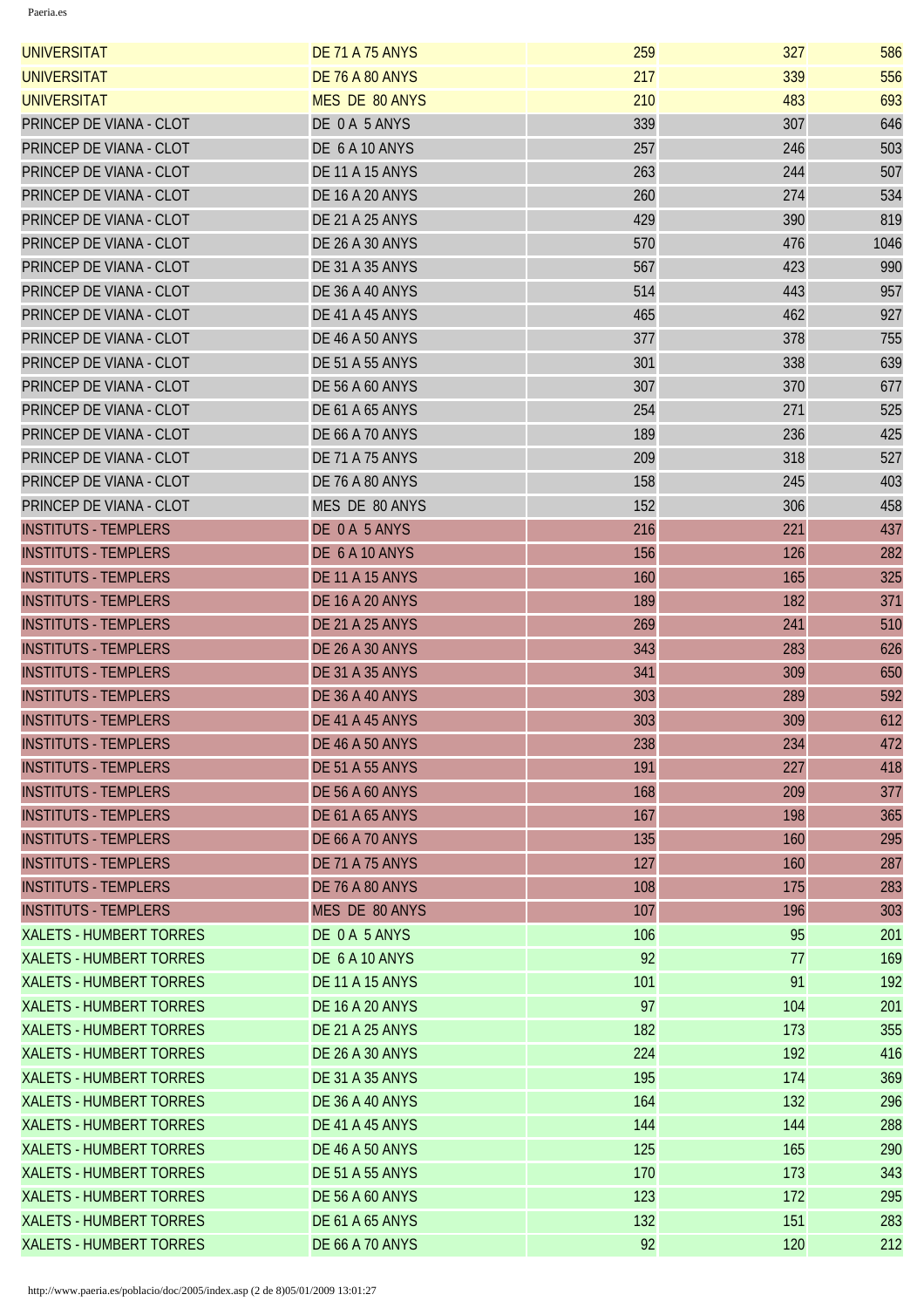| <b>UNIVERSITAT</b>             | <b>DE 71 A 75 ANYS</b> | 259 | 327 | 586  |
|--------------------------------|------------------------|-----|-----|------|
| <b>UNIVERSITAT</b>             | <b>DE 76 A 80 ANYS</b> | 217 | 339 | 556  |
| <b>UNIVERSITAT</b>             | <b>MES DE 80 ANYS</b>  | 210 | 483 | 693  |
| PRINCEP DE VIANA - CLOT        | DE 0A 5 ANYS           | 339 | 307 | 646  |
| PRINCEP DE VIANA - CLOT        | DE 6 A 10 ANYS         | 257 | 246 | 503  |
| PRINCEP DE VIANA - CLOT        | <b>DE 11 A 15 ANYS</b> | 263 | 244 | 507  |
| PRINCEP DE VIANA - CLOT        | <b>DE 16 A 20 ANYS</b> | 260 | 274 | 534  |
| PRINCEP DE VIANA - CLOT        | <b>DE 21 A 25 ANYS</b> | 429 | 390 | 819  |
| PRINCEP DE VIANA - CLOT        | <b>DE 26 A 30 ANYS</b> | 570 | 476 | 1046 |
| PRINCEP DE VIANA - CLOT        | <b>DE 31 A 35 ANYS</b> | 567 | 423 | 990  |
| PRINCEP DE VIANA - CLOT        | <b>DE 36 A 40 ANYS</b> | 514 | 443 | 957  |
| PRINCEP DE VIANA - CLOT        | DE 41 A 45 ANYS        | 465 | 462 | 927  |
| PRINCEP DE VIANA - CLOT        | <b>DE 46 A 50 ANYS</b> | 377 | 378 | 755  |
| PRINCEP DE VIANA - CLOT        | <b>DE 51 A 55 ANYS</b> | 301 | 338 | 639  |
| PRINCEP DE VIANA - CLOT        | <b>DE 56 A 60 ANYS</b> | 307 | 370 | 677  |
| PRINCEP DE VIANA - CLOT        | <b>DE 61 A 65 ANYS</b> | 254 | 271 | 525  |
| PRINCEP DE VIANA - CLOT        | <b>DE 66 A 70 ANYS</b> | 189 | 236 | 425  |
| PRINCEP DE VIANA - CLOT        | <b>DE 71 A 75 ANYS</b> | 209 | 318 | 527  |
| PRINCEP DE VIANA - CLOT        | DE 76 A 80 ANYS        | 158 | 245 | 403  |
| PRINCEP DE VIANA - CLOT        | MES DE 80 ANYS         | 152 | 306 | 458  |
| <b>INSTITUTS - TEMPLERS</b>    | DE 0A 5 ANYS           | 216 | 221 | 437  |
| <b>INSTITUTS - TEMPLERS</b>    | DE 6 A 10 ANYS         | 156 | 126 | 282  |
| <b>INSTITUTS - TEMPLERS</b>    | <b>DE 11 A 15 ANYS</b> | 160 | 165 | 325  |
| <b>INSTITUTS - TEMPLERS</b>    | <b>DE 16 A 20 ANYS</b> | 189 | 182 | 371  |
| <b>INSTITUTS - TEMPLERS</b>    | <b>DE 21 A 25 ANYS</b> | 269 | 241 | 510  |
| <b>INSTITUTS - TEMPLERS</b>    | <b>DE 26 A 30 ANYS</b> | 343 | 283 | 626  |
| <b>INSTITUTS - TEMPLERS</b>    | <b>DE 31 A 35 ANYS</b> | 341 | 309 | 650  |
| <b>INSTITUTS - TEMPLERS</b>    | <b>DE 36 A 40 ANYS</b> | 303 | 289 | 592  |
| <b>INSTITUTS - TEMPLERS</b>    | DE 41 A 45 ANYS        | 303 | 309 | 612  |
| <b>INSTITUTS - TEMPLERS</b>    | <b>DE 46 A 50 ANYS</b> | 238 | 234 | 472  |
| <b>INSTITUTS - TEMPLERS</b>    | <b>DE 51 A 55 ANYS</b> | 191 | 227 | 418  |
| <b>INSTITUTS - TEMPLERS</b>    | <b>DE 56 A 60 ANYS</b> | 168 | 209 | 377  |
| <b>INSTITUTS - TEMPLERS</b>    | <b>DE 61 A 65 ANYS</b> | 167 | 198 | 365  |
| <b>INSTITUTS - TEMPLERS</b>    | <b>DE 66 A 70 ANYS</b> | 135 | 160 | 295  |
| <b>INSTITUTS - TEMPLERS</b>    | <b>DE 71 A 75 ANYS</b> | 127 | 160 | 287  |
| <b>INSTITUTS - TEMPLERS</b>    | <b>DE 76 A 80 ANYS</b> | 108 | 175 | 283  |
| <b>INSTITUTS - TEMPLERS</b>    | MES DE 80 ANYS         | 107 | 196 | 303  |
| <b>XALETS - HUMBERT TORRES</b> | DE 0 A 5 ANYS          | 106 | 95  | 201  |
| <b>XALETS - HUMBERT TORRES</b> | DE 6 A 10 ANYS         | 92  | 77  | 169  |
| <b>XALETS - HUMBERT TORRES</b> | <b>DE 11 A 15 ANYS</b> | 101 | 91  | 192  |
| <b>XALETS - HUMBERT TORRES</b> | <b>DE 16 A 20 ANYS</b> | 97  | 104 | 201  |
| <b>XALETS - HUMBERT TORRES</b> | <b>DE 21 A 25 ANYS</b> | 182 | 173 | 355  |
| <b>XALETS - HUMBERT TORRES</b> | <b>DE 26 A 30 ANYS</b> | 224 | 192 | 416  |
| <b>XALETS - HUMBERT TORRES</b> | <b>DE 31 A 35 ANYS</b> | 195 | 174 | 369  |
| <b>XALETS - HUMBERT TORRES</b> | <b>DE 36 A 40 ANYS</b> | 164 | 132 | 296  |
| <b>XALETS - HUMBERT TORRES</b> | DE 41 A 45 ANYS        | 144 | 144 | 288  |
| <b>XALETS - HUMBERT TORRES</b> | <b>DE 46 A 50 ANYS</b> | 125 | 165 | 290  |
| <b>XALETS - HUMBERT TORRES</b> | <b>DE 51 A 55 ANYS</b> | 170 | 173 | 343  |
| <b>XALETS - HUMBERT TORRES</b> | <b>DE 56 A 60 ANYS</b> | 123 | 172 | 295  |
| <b>XALETS - HUMBERT TORRES</b> | <b>DE 61 A 65 ANYS</b> | 132 | 151 | 283  |
| <b>XALETS - HUMBERT TORRES</b> | <b>DE 66 A 70 ANYS</b> | 92  | 120 | 212  |
|                                |                        |     |     |      |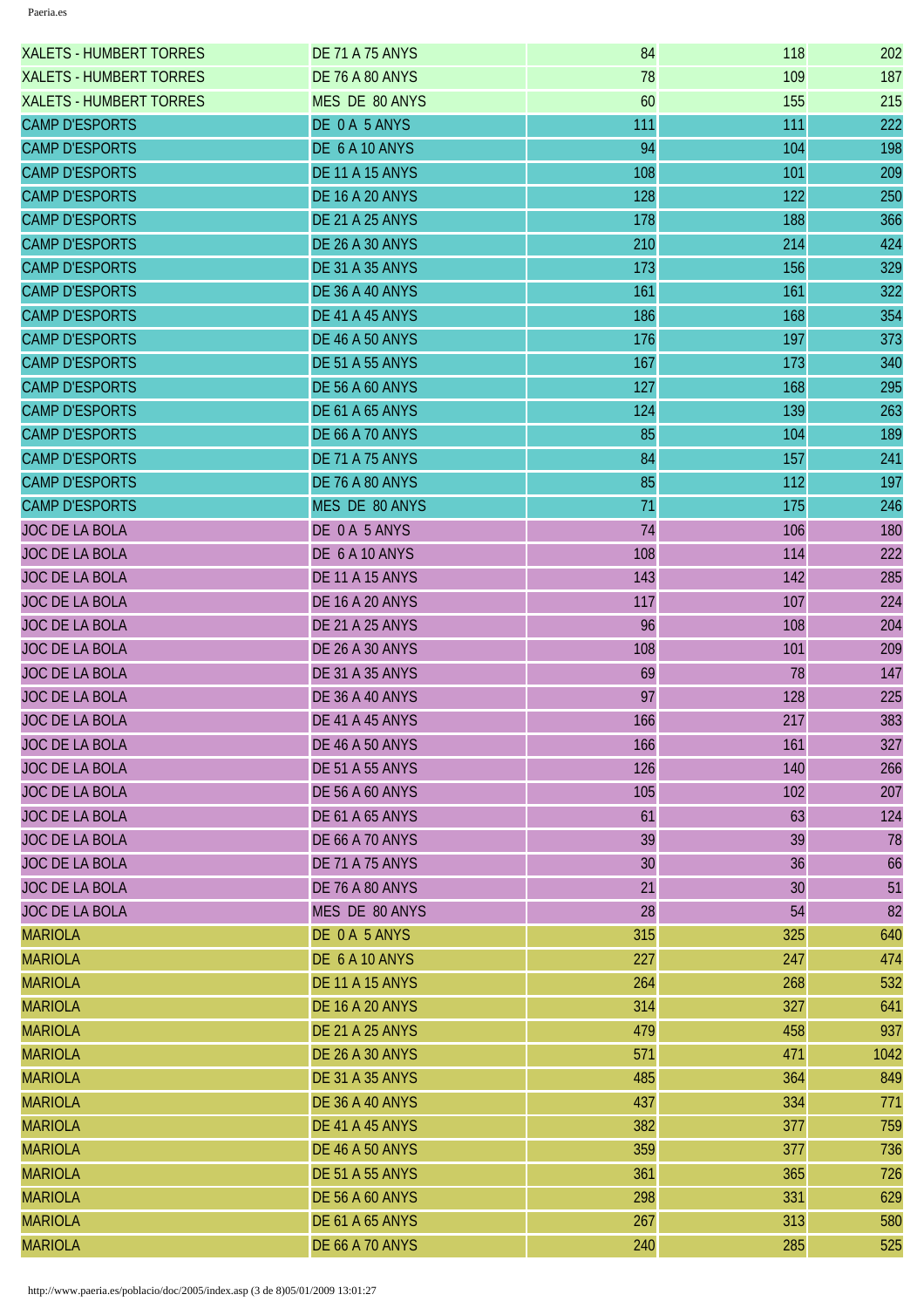| <b>XALETS - HUMBERT TORRES</b> | <b>DE 71 A 75 ANYS</b> | 84  | 118 | 202  |
|--------------------------------|------------------------|-----|-----|------|
| <b>XALETS - HUMBERT TORRES</b> | <b>DE 76 A 80 ANYS</b> | 78  | 109 | 187  |
| <b>XALETS - HUMBERT TORRES</b> | MES DE 80 ANYS         | 60  | 155 | 215  |
| <b>CAMP D'ESPORTS</b>          | DE 0 A 5 ANYS          | 111 | 111 | 222  |
| <b>CAMP D'ESPORTS</b>          | DE 6 A 10 ANYS         | 94  | 104 | 198  |
| <b>CAMP D'ESPORTS</b>          | <b>DE 11 A 15 ANYS</b> | 108 | 101 | 209  |
| <b>CAMP D'ESPORTS</b>          | <b>DE 16 A 20 ANYS</b> | 128 | 122 | 250  |
| <b>CAMP D'ESPORTS</b>          | <b>DE 21 A 25 ANYS</b> | 178 | 188 | 366  |
| <b>CAMP D'ESPORTS</b>          | <b>DE 26 A 30 ANYS</b> | 210 | 214 | 424  |
| <b>CAMP D'ESPORTS</b>          | <b>DE 31 A 35 ANYS</b> | 173 | 156 | 329  |
| <b>CAMP D'ESPORTS</b>          | DE 36 A 40 ANYS        | 161 | 161 | 322  |
| <b>CAMP D'ESPORTS</b>          | DE 41 A 45 ANYS        | 186 | 168 | 354  |
| <b>CAMP D'ESPORTS</b>          | <b>DE 46 A 50 ANYS</b> | 176 | 197 | 373  |
| <b>CAMP D'ESPORTS</b>          | <b>DE 51 A 55 ANYS</b> | 167 | 173 | 340  |
| <b>CAMP D'ESPORTS</b>          | <b>DE 56 A 60 ANYS</b> | 127 | 168 | 295  |
| <b>CAMP D'ESPORTS</b>          | <b>DE 61 A 65 ANYS</b> | 124 | 139 | 263  |
| <b>CAMP D'ESPORTS</b>          | <b>DE 66 A 70 ANYS</b> | 85  | 104 | 189  |
| <b>CAMP D'ESPORTS</b>          | <b>DE 71 A 75 ANYS</b> | 84  | 157 | 241  |
| <b>CAMP D'ESPORTS</b>          | <b>DE 76 A 80 ANYS</b> | 85  | 112 | 197  |
| <b>CAMP D'ESPORTS</b>          | MES DE 80 ANYS         | 71  | 175 | 246  |
| <b>JOC DE LA BOLA</b>          | DE 0A 5 ANYS           | 74  | 106 | 180  |
| <b>JOC DE LA BOLA</b>          | DE 6 A 10 ANYS         | 108 | 114 | 222  |
| <b>JOC DE LA BOLA</b>          | <b>DE 11 A 15 ANYS</b> | 143 | 142 | 285  |
| <b>JOC DE LA BOLA</b>          | <b>DE 16 A 20 ANYS</b> | 117 | 107 | 224  |
| <b>JOC DE LA BOLA</b>          | <b>DE 21 A 25 ANYS</b> | 96  | 108 | 204  |
| <b>JOC DE LA BOLA</b>          | <b>DE 26 A 30 ANYS</b> | 108 | 101 | 209  |
| <b>JOC DE LA BOLA</b>          | <b>DE 31 A 35 ANYS</b> | 69  | 78  | 147  |
| JOC DE LA BOLA                 | <b>DE 36 A 40 ANYS</b> | 97  | 128 | 225  |
| <b>JOC DE LA BOLA</b>          | DE 41 A 45 ANYS        | 166 | 217 | 383  |
| <b>JOC DE LA BOLA</b>          | <b>DE 46 A 50 ANYS</b> | 166 | 161 | 327  |
| <b>JOC DE LA BOLA</b>          | <b>DE 51 A 55 ANYS</b> | 126 | 140 | 266  |
| JOC DE LA BOLA                 | <b>DE 56 A 60 ANYS</b> | 105 | 102 | 207  |
| <b>JOC DE LA BOLA</b>          | <b>DE 61 A 65 ANYS</b> | 61  | 63  | 124  |
| <b>JOC DE LA BOLA</b>          | <b>DE 66 A 70 ANYS</b> | 39  | 39  | 78   |
| <b>JOC DE LA BOLA</b>          | <b>DE 71 A 75 ANYS</b> | 30  | 36  | 66   |
| <b>JOC DE LA BOLA</b>          | DE 76 A 80 ANYS        | 21  | 30  | 51   |
| <b>JOC DE LA BOLA</b>          | MES DE 80 ANYS         | 28  | 54  | 82   |
| <b>MARIOLA</b>                 | DE 0A 5 ANYS           | 315 | 325 | 640  |
| <b>MARIOLA</b>                 | DE 6 A 10 ANYS         | 227 | 247 | 474  |
| <b>MARIOLA</b>                 | <b>DE 11 A 15 ANYS</b> | 264 | 268 | 532  |
| <b>MARIOLA</b>                 | <b>DE 16 A 20 ANYS</b> | 314 | 327 | 641  |
| <b>MARIOLA</b>                 | <b>DE 21 A 25 ANYS</b> | 479 | 458 | 937  |
| <b>MARIOLA</b>                 | <b>DE 26 A 30 ANYS</b> | 571 | 471 | 1042 |
| <b>MARIOLA</b>                 | <b>DE 31 A 35 ANYS</b> | 485 | 364 | 849  |
| <b>MARIOLA</b>                 | <b>DE 36 A 40 ANYS</b> | 437 | 334 | 771  |
| <b>MARIOLA</b>                 | DE 41 A 45 ANYS        | 382 | 377 | 759  |
| <b>MARIOLA</b>                 | <b>DE 46 A 50 ANYS</b> | 359 | 377 | 736  |
| <b>MARIOLA</b>                 | <b>DE 51 A 55 ANYS</b> | 361 | 365 | 726  |
| <b>MARIOLA</b>                 | <b>DE 56 A 60 ANYS</b> | 298 | 331 | 629  |
| <b>MARIOLA</b>                 | <b>DE 61 A 65 ANYS</b> | 267 | 313 | 580  |
| <b>MARIOLA</b>                 | <b>DE 66 A 70 ANYS</b> | 240 | 285 | 525  |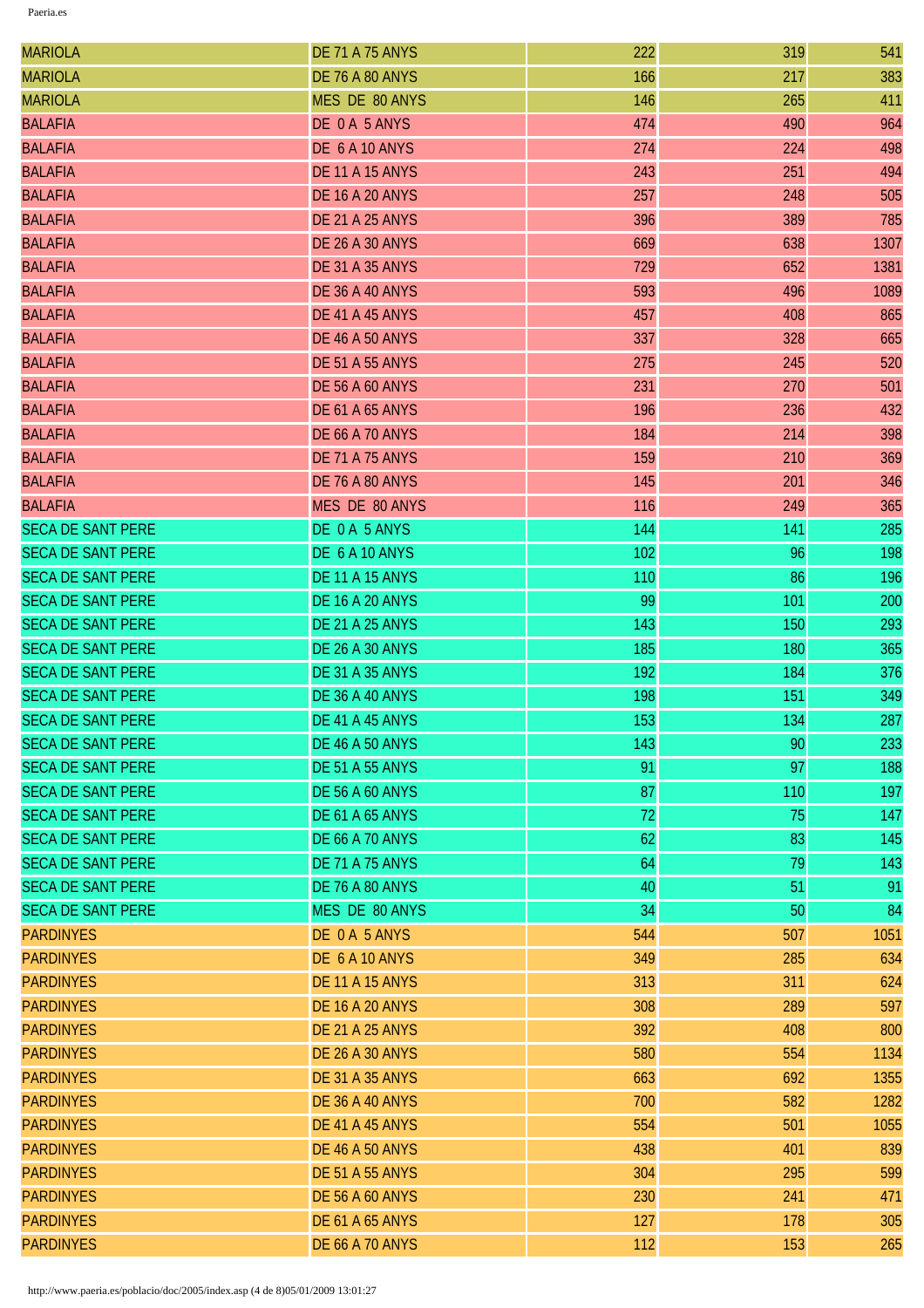| <b>MARIOLA</b>           | <b>DE 71 A 75 ANYS</b> | 222 | 319 | 541  |
|--------------------------|------------------------|-----|-----|------|
| <b>MARIOLA</b>           | <b>DE 76 A 80 ANYS</b> | 166 | 217 | 383  |
| <b>MARIOLA</b>           | MES DE 80 ANYS         | 146 | 265 | 411  |
| <b>BALAFIA</b>           | DE 0A 5 ANYS           | 474 | 490 | 964  |
| <b>BALAFIA</b>           | DE 6 A 10 ANYS         | 274 | 224 | 498  |
| <b>BALAFIA</b>           | <b>DE 11 A 15 ANYS</b> | 243 | 251 | 494  |
| <b>BALAFIA</b>           | <b>DE 16 A 20 ANYS</b> | 257 | 248 | 505  |
| <b>BALAFIA</b>           | <b>DE 21 A 25 ANYS</b> | 396 | 389 | 785  |
| <b>BALAFIA</b>           | <b>DE 26 A 30 ANYS</b> | 669 | 638 | 1307 |
| <b>BALAFIA</b>           | <b>DE 31 A 35 ANYS</b> | 729 | 652 | 1381 |
| <b>BALAFIA</b>           | <b>DE 36 A 40 ANYS</b> | 593 | 496 | 1089 |
| <b>BALAFIA</b>           | DE 41 A 45 ANYS        | 457 | 408 | 865  |
| <b>BALAFIA</b>           | <b>DE 46 A 50 ANYS</b> | 337 | 328 | 665  |
| <b>BALAFIA</b>           | <b>DE 51 A 55 ANYS</b> | 275 | 245 | 520  |
| <b>BALAFIA</b>           | <b>DE 56 A 60 ANYS</b> | 231 | 270 | 501  |
| <b>BALAFIA</b>           | <b>DE 61 A 65 ANYS</b> | 196 | 236 | 432  |
| <b>BALAFIA</b>           | <b>DE 66 A 70 ANYS</b> | 184 | 214 | 398  |
| <b>BALAFIA</b>           | <b>DE 71 A 75 ANYS</b> | 159 | 210 | 369  |
| <b>BALAFIA</b>           | <b>DE 76 A 80 ANYS</b> | 145 | 201 | 346  |
| <b>BALAFIA</b>           | MES DE 80 ANYS         | 116 | 249 | 365  |
| <b>SECA DE SANT PERE</b> | DE 0 A 5 ANYS          | 144 | 141 | 285  |
| <b>SECA DE SANT PERE</b> | DE 6 A 10 ANYS         | 102 | 96  | 198  |
| <b>SECA DE SANT PERE</b> | <b>DE 11 A 15 ANYS</b> | 110 | 86  | 196  |
| <b>SECA DE SANT PERE</b> | <b>DE 16 A 20 ANYS</b> | 99  | 101 | 200  |
| <b>SECA DE SANT PERE</b> | <b>DE 21 A 25 ANYS</b> | 143 | 150 | 293  |
| <b>SECA DE SANT PERE</b> | <b>DE 26 A 30 ANYS</b> | 185 | 180 | 365  |
| <b>SECA DE SANT PERE</b> | <b>DE 31 A 35 ANYS</b> | 192 | 184 | 376  |
| <b>SECA DE SANT PERE</b> | <b>DE 36 A 40 ANYS</b> | 198 | 151 | 349  |
| <b>SECA DE SANT PERE</b> | DE 41 A 45 ANYS        | 153 | 134 | 287  |
| <b>SECA DE SANT PERE</b> | <b>DE 46 A 50 ANYS</b> | 143 | 90  | 233  |
| <b>SECA DE SANT PERE</b> | <b>DE 51 A 55 ANYS</b> | 91  | 97  | 188  |
| <b>SECA DE SANT PERE</b> | <b>DE 56 A 60 ANYS</b> | 87  | 110 | 197  |
| <b>SECA DE SANT PERE</b> | <b>DE 61 A 65 ANYS</b> | 72  | 75  | 147  |
| <b>SECA DE SANT PERE</b> | <b>DE 66 A 70 ANYS</b> | 62  | 83  | 145  |
| <b>SECA DE SANT PERE</b> | <b>DE 71 A 75 ANYS</b> | 64  | 79  | 143  |
| <b>SECA DE SANT PERE</b> | <b>DE 76 A 80 ANYS</b> | 40  | 51  | 91   |
| <b>SECA DE SANT PERE</b> | MES DE 80 ANYS         | 34  | 50  | 84   |
| <b>PARDINYES</b>         | DE 0 A 5 ANYS          | 544 | 507 | 1051 |
| <b>PARDINYES</b>         | DE 6 A 10 ANYS         | 349 | 285 | 634  |
| <b>PARDINYES</b>         | <b>DE 11 A 15 ANYS</b> | 313 | 311 | 624  |
| <b>PARDINYES</b>         | <b>DE 16 A 20 ANYS</b> | 308 | 289 | 597  |
| <b>PARDINYES</b>         | <b>DE 21 A 25 ANYS</b> | 392 | 408 | 800  |
| <b>PARDINYES</b>         | <b>DE 26 A 30 ANYS</b> | 580 | 554 | 1134 |
| <b>PARDINYES</b>         | <b>DE 31 A 35 ANYS</b> | 663 | 692 | 1355 |
| <b>PARDINYES</b>         | <b>DE 36 A 40 ANYS</b> | 700 | 582 | 1282 |
| <b>PARDINYES</b>         | DE 41 A 45 ANYS        | 554 | 501 | 1055 |
| <b>PARDINYES</b>         | <b>DE 46 A 50 ANYS</b> | 438 | 401 | 839  |
| <b>PARDINYES</b>         | <b>DE 51 A 55 ANYS</b> | 304 | 295 | 599  |
| <b>PARDINYES</b>         | <b>DE 56 A 60 ANYS</b> | 230 | 241 | 471  |
| <b>PARDINYES</b>         | <b>DE 61 A 65 ANYS</b> | 127 | 178 | 305  |
| <b>PARDINYES</b>         | <b>DE 66 A 70 ANYS</b> | 112 | 153 | 265  |
|                          |                        |     |     |      |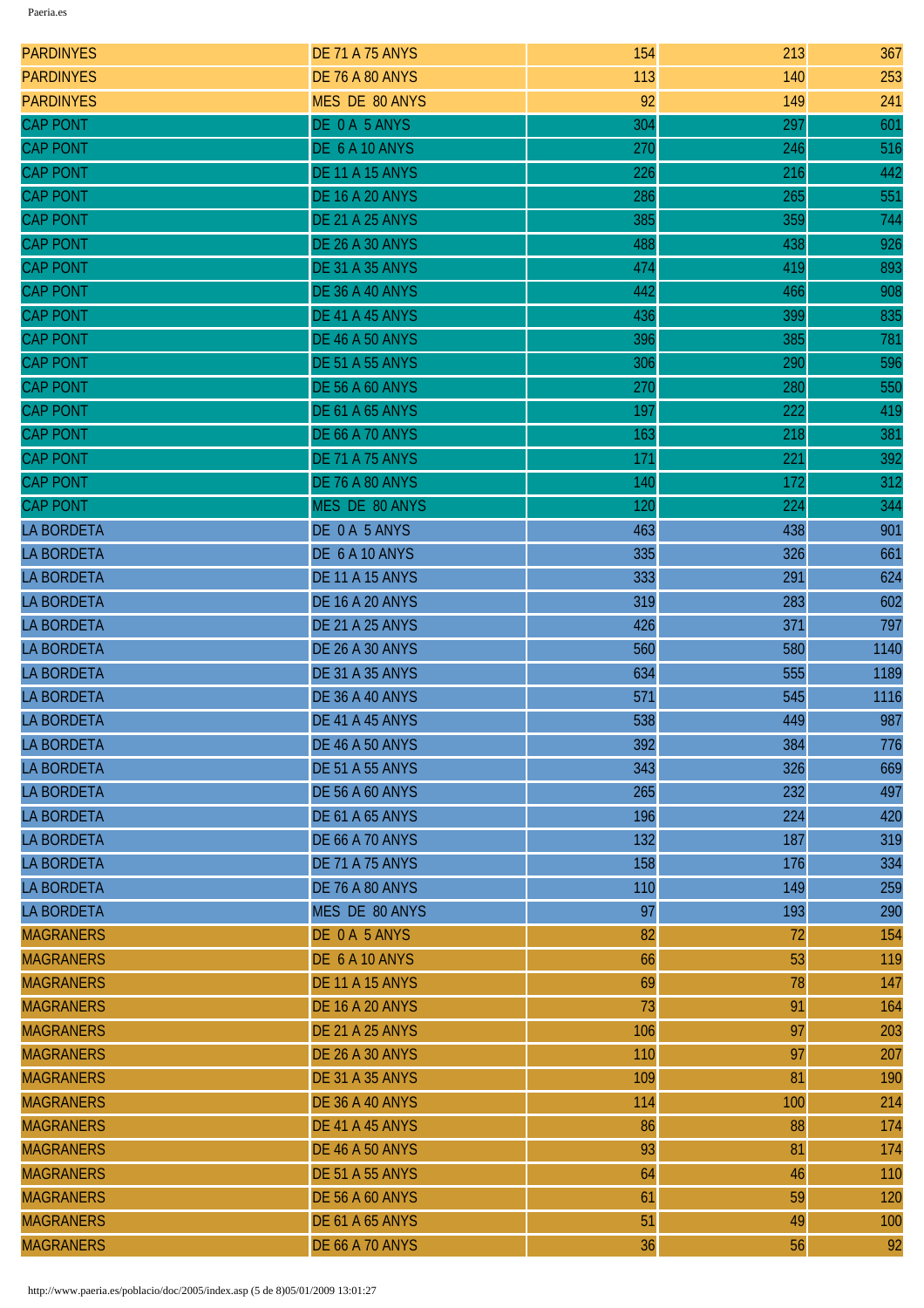| <b>PARDINYES</b>  | <b>DE 71 A 75 ANYS</b> | 154 | 213 | 367  |
|-------------------|------------------------|-----|-----|------|
| <b>PARDINYES</b>  | <b>DE 76 A 80 ANYS</b> | 113 | 140 | 253  |
| <b>PARDINYES</b>  | <b>MES DE 80 ANYS</b>  | 92  | 149 | 241  |
| <b>CAP PONT</b>   | DE 0 A 5 ANYS          | 304 | 297 | 601  |
| <b>CAP PONT</b>   | DE 6 A 10 ANYS         | 270 | 246 | 516  |
| <b>CAP PONT</b>   | <b>DE 11 A 15 ANYS</b> | 226 | 216 | 442  |
| <b>CAP PONT</b>   | <b>DE 16 A 20 ANYS</b> | 286 | 265 | 551  |
| <b>CAP PONT</b>   | <b>DE 21 A 25 ANYS</b> | 385 | 359 | 744  |
| <b>CAP PONT</b>   | <b>DE 26 A 30 ANYS</b> | 488 | 438 | 926  |
| <b>CAP PONT</b>   | <b>DE 31 A 35 ANYS</b> | 474 | 419 | 893  |
| <b>CAP PONT</b>   | DE 36 A 40 ANYS        | 442 | 466 | 908  |
| <b>CAP PONT</b>   | DE 41 A 45 ANYS        | 436 | 399 | 835  |
| <b>CAP PONT</b>   | <b>DE 46 A 50 ANYS</b> | 396 | 385 | 781  |
| <b>CAP PONT</b>   | <b>DE 51 A 55 ANYS</b> | 306 | 290 | 596  |
| <b>CAP PONT</b>   | <b>DE 56 A 60 ANYS</b> | 270 | 280 | 550  |
| <b>CAP PONT</b>   | <b>DE 61 A 65 ANYS</b> | 197 | 222 | 419  |
| <b>CAP PONT</b>   | <b>DE 66 A 70 ANYS</b> | 163 | 218 | 381  |
| <b>CAP PONT</b>   | <b>DE 71 A 75 ANYS</b> | 171 | 221 | 392  |
| <b>CAP PONT</b>   | DE 76 A 80 ANYS        | 140 | 172 | 312  |
| <b>CAP PONT</b>   | MES DE 80 ANYS         | 120 | 224 | 344  |
| <b>LA BORDETA</b> | DE 0 A 5 ANYS          | 463 | 438 | 901  |
| <b>LA BORDETA</b> | DE 6 A 10 ANYS         | 335 | 326 | 661  |
| <b>LA BORDETA</b> | <b>DE 11 A 15 ANYS</b> | 333 | 291 | 624  |
| <b>LA BORDETA</b> | <b>DE 16 A 20 ANYS</b> | 319 | 283 | 602  |
| <b>LA BORDETA</b> | <b>DE 21 A 25 ANYS</b> | 426 | 371 | 797  |
| <b>LA BORDETA</b> | <b>DE 26 A 30 ANYS</b> | 560 | 580 | 1140 |
| <b>LA BORDETA</b> | <b>DE 31 A 35 ANYS</b> | 634 | 555 | 1189 |
| <b>LA BORDETA</b> | <b>DE 36 A 40 ANYS</b> | 571 | 545 | 1116 |
| <b>LA BORDETA</b> | DE 41 A 45 ANYS        | 538 | 449 | 987  |
| <b>LA BORDETA</b> | <b>DE 46 A 50 ANYS</b> | 392 | 384 | 776  |
| <b>LA BORDETA</b> | <b>DE 51 A 55 ANYS</b> | 343 | 326 | 669  |
| <b>LA BORDETA</b> | <b>DE 56 A 60 ANYS</b> | 265 | 232 | 497  |
| <b>LA BORDETA</b> | <b>DE 61 A 65 ANYS</b> | 196 | 224 | 420  |
| <b>LA BORDETA</b> | <b>DE 66 A 70 ANYS</b> | 132 | 187 | 319  |
| <b>LA BORDETA</b> | <b>DE 71 A 75 ANYS</b> | 158 | 176 | 334  |
| <b>LA BORDETA</b> | <b>DE 76 A 80 ANYS</b> | 110 | 149 | 259  |
| <b>LA BORDETA</b> | MES DE 80 ANYS         | 97  | 193 | 290  |
| <b>MAGRANERS</b>  | DE 0 A 5 ANYS          | 82  | 72  | 154  |
| <b>MAGRANERS</b>  | DE 6 A 10 ANYS         | 66  | 53  | 119  |
| <b>MAGRANERS</b>  | <b>DE 11 A 15 ANYS</b> | 69  | 78  | 147  |
| <b>MAGRANERS</b>  | <b>DE 16 A 20 ANYS</b> | 73  | 91  | 164  |
| <b>MAGRANERS</b>  | <b>DE 21 A 25 ANYS</b> | 106 | 97  | 203  |
| <b>MAGRANERS</b>  | <b>DE 26 A 30 ANYS</b> | 110 | 97  | 207  |
| <b>MAGRANERS</b>  | <b>DE 31 A 35 ANYS</b> | 109 | 81  | 190  |
| <b>MAGRANERS</b>  | <b>DE 36 A 40 ANYS</b> | 114 | 100 | 214  |
| <b>MAGRANERS</b>  | DE 41 A 45 ANYS        | 86  | 88  | 174  |
| <b>MAGRANERS</b>  | <b>DE 46 A 50 ANYS</b> | 93  | 81  | 174  |
| <b>MAGRANERS</b>  | <b>DE 51 A 55 ANYS</b> | 64  | 46  | 110  |
| <b>MAGRANERS</b>  | <b>DE 56 A 60 ANYS</b> | 61  | 59  | 120  |
| <b>MAGRANERS</b>  | <b>DE 61 A 65 ANYS</b> | 51  | 49  | 100  |
| <b>MAGRANERS</b>  | <b>DE 66 A 70 ANYS</b> | 36  | 56  | 92   |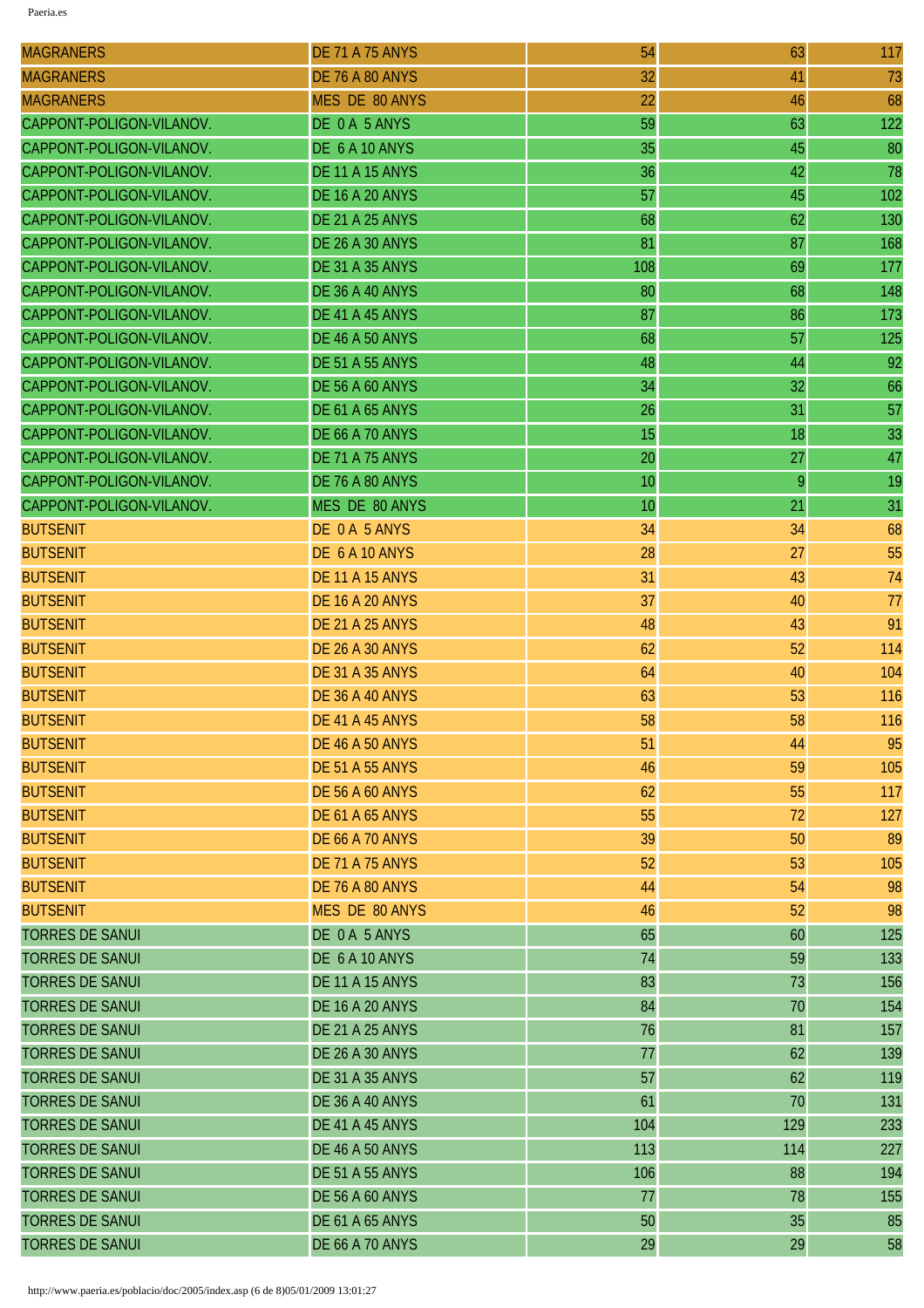| <b>MAGRANERS</b>         | <b>DE 71 A 75 ANYS</b> | 54  | 63  | 117 |
|--------------------------|------------------------|-----|-----|-----|
| <b>MAGRANERS</b>         | <b>DE 76 A 80 ANYS</b> | 32  | 41  | 73  |
| <b>MAGRANERS</b>         | MES DE 80 ANYS         | 22  | 46  | 68  |
| CAPPONT-POLIGON-VILANOV. | DE 0 A 5 ANYS          | 59  | 63  | 122 |
| CAPPONT-POLIGON-VILANOV. | DE 6 A 10 ANYS         | 35  | 45  | 80  |
| CAPPONT-POLIGON-VILANOV. | <b>DE 11 A 15 ANYS</b> | 36  | 42  | 78  |
| CAPPONT-POLIGON-VILANOV. | <b>DE 16 A 20 ANYS</b> | 57  | 45  | 102 |
| CAPPONT-POLIGON-VILANOV. | <b>DE 21 A 25 ANYS</b> | 68  | 62  | 130 |
| CAPPONT-POLIGON-VILANOV. | <b>DE 26 A 30 ANYS</b> | 81  | 87  | 168 |
| CAPPONT-POLIGON-VILANOV. | <b>DE 31 A 35 ANYS</b> | 108 | 69  | 177 |
| CAPPONT-POLIGON-VILANOV. | <b>DE 36 A 40 ANYS</b> | 80  | 68  | 148 |
| CAPPONT-POLIGON-VILANOV. | DE 41 A 45 ANYS        | 87  | 86  | 173 |
| CAPPONT-POLIGON-VILANOV. | <b>DE 46 A 50 ANYS</b> | 68  | 57  | 125 |
| CAPPONT-POLIGON-VILANOV. | <b>DE 51 A 55 ANYS</b> | 48  | 44  | 92  |
| CAPPONT-POLIGON-VILANOV. | <b>DE 56 A 60 ANYS</b> | 34  | 32  | 66  |
| CAPPONT-POLIGON-VILANOV. | <b>DE 61 A 65 ANYS</b> | 26  | 31  | 57  |
| CAPPONT-POLIGON-VILANOV. | <b>DE 66 A 70 ANYS</b> | 15  | 18  | 33  |
| CAPPONT-POLIGON-VILANOV. | <b>DE 71 A 75 ANYS</b> | 20  | 27  | 47  |
| CAPPONT-POLIGON-VILANOV. | <b>DE 76 A 80 ANYS</b> | 10  | 9   | 19  |
| CAPPONT-POLIGON-VILANOV. | MES DE 80 ANYS         | 10  | 21  | 31  |
| <b>BUTSENIT</b>          | DE 0 A 5 ANYS          | 34  | 34  | 68  |
| <b>BUTSENIT</b>          | DE 6 A 10 ANYS         | 28  | 27  | 55  |
| <b>BUTSENIT</b>          | <b>DE 11 A 15 ANYS</b> | 31  | 43  | 74  |
| <b>BUTSENIT</b>          | <b>DE 16 A 20 ANYS</b> | 37  | 40  | 77  |
| <b>BUTSENIT</b>          | <b>DE 21 A 25 ANYS</b> | 48  | 43  | 91  |
| <b>BUTSENIT</b>          | <b>DE 26 A 30 ANYS</b> | 62  | 52  | 114 |
| <b>BUTSENIT</b>          | <b>DE 31 A 35 ANYS</b> | 64  | 40  | 104 |
| <b>BUTSENIT</b>          | <b>DE 36 A 40 ANYS</b> | 63  | 53  | 116 |
| <b>BUTSENIT</b>          | <b>DE 41 A 45 ANYS</b> | 58  | 58  | 116 |
| <b>BUTSENIT</b>          | <b>DE 46 A 50 ANYS</b> | 51  | 44  | 95  |
| <b>BUTSENIT</b>          | <b>DE 51 A 55 ANYS</b> | 46  | 59  | 105 |
| <b>BUTSENIT</b>          | <b>DE 56 A 60 ANYS</b> | 62  | 55  | 117 |
| <b>BUTSENIT</b>          | <b>DE 61 A 65 ANYS</b> | 55  | 72  | 127 |
| <b>BUTSENIT</b>          | <b>DE 66 A 70 ANYS</b> | 39  | 50  | 89  |
| <b>BUTSENIT</b>          | <b>DE 71 A 75 ANYS</b> | 52  | 53  | 105 |
| <b>BUTSENIT</b>          | <b>DE 76 A 80 ANYS</b> | 44  | 54  | 98  |
| <b>BUTSENIT</b>          | MES DE 80 ANYS         | 46  | 52  | 98  |
| <b>TORRES DE SANUI</b>   | DE 0A 5 ANYS           | 65  | 60  | 125 |
| <b>TORRES DE SANUI</b>   | DE 6 A 10 ANYS         | 74  | 59  | 133 |
| <b>TORRES DE SANUI</b>   | <b>DE 11 A 15 ANYS</b> | 83  | 73  | 156 |
| <b>TORRES DE SANUI</b>   | <b>DE 16 A 20 ANYS</b> | 84  | 70  | 154 |
| <b>TORRES DE SANUI</b>   | <b>DE 21 A 25 ANYS</b> | 76  | 81  | 157 |
| <b>TORRES DE SANUI</b>   | <b>DE 26 A 30 ANYS</b> | 77  | 62  | 139 |
| <b>TORRES DE SANUI</b>   | <b>DE 31 A 35 ANYS</b> | 57  | 62  | 119 |
| <b>TORRES DE SANUI</b>   | <b>DE 36 A 40 ANYS</b> | 61  | 70  | 131 |
| <b>TORRES DE SANUI</b>   | DE 41 A 45 ANYS        | 104 | 129 | 233 |
| <b>TORRES DE SANUI</b>   | <b>DE 46 A 50 ANYS</b> | 113 | 114 | 227 |
| <b>TORRES DE SANUI</b>   | <b>DE 51 A 55 ANYS</b> | 106 | 88  | 194 |
| <b>TORRES DE SANUI</b>   | <b>DE 56 A 60 ANYS</b> | 77  | 78  | 155 |
| <b>TORRES DE SANUI</b>   | <b>DE 61 A 65 ANYS</b> | 50  | 35  | 85  |
| <b>TORRES DE SANUI</b>   | <b>DE 66 A 70 ANYS</b> | 29  | 29  | 58  |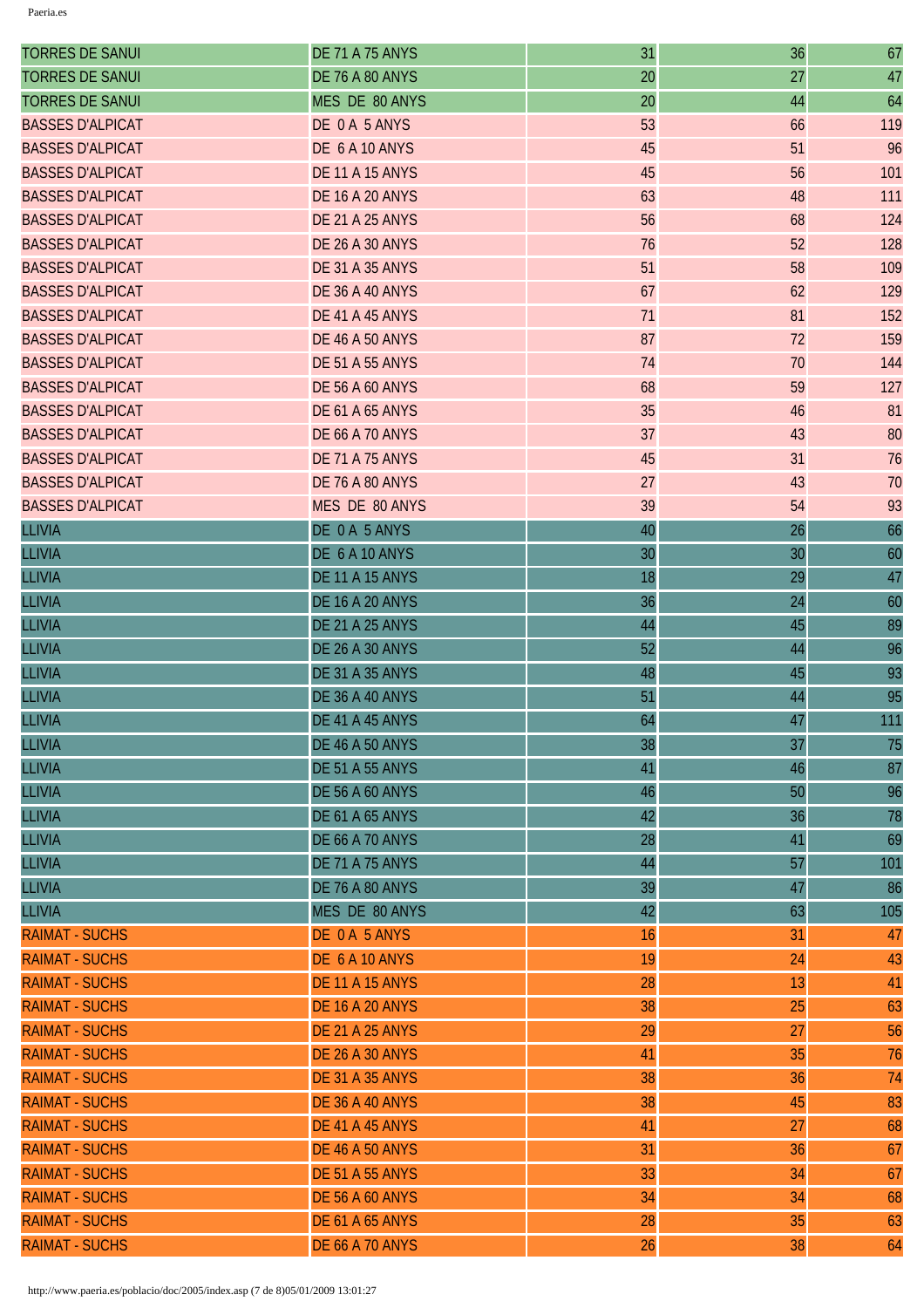| <b>TORRES DE SANUI</b>  | <b>DE 71 A 75 ANYS</b> | 31 | 36 | 67  |
|-------------------------|------------------------|----|----|-----|
| <b>TORRES DE SANUI</b>  | <b>DE 76 A 80 ANYS</b> | 20 | 27 | 47  |
| <b>TORRES DE SANUI</b>  | MES DE 80 ANYS         | 20 | 44 | 64  |
| <b>BASSES D'ALPICAT</b> | DE 0A 5 ANYS           | 53 | 66 | 119 |
| <b>BASSES D'ALPICAT</b> | DE 6 A 10 ANYS         | 45 | 51 | 96  |
| <b>BASSES D'ALPICAT</b> | <b>DE 11 A 15 ANYS</b> | 45 | 56 | 101 |
| <b>BASSES D'ALPICAT</b> | <b>DE 16 A 20 ANYS</b> | 63 | 48 | 111 |
| <b>BASSES D'ALPICAT</b> | <b>DE 21 A 25 ANYS</b> | 56 | 68 | 124 |
| <b>BASSES D'ALPICAT</b> | <b>DE 26 A 30 ANYS</b> | 76 | 52 | 128 |
| <b>BASSES D'ALPICAT</b> | <b>DE 31 A 35 ANYS</b> | 51 | 58 | 109 |
| <b>BASSES D'ALPICAT</b> | <b>DE 36 A 40 ANYS</b> | 67 | 62 | 129 |
| <b>BASSES D'ALPICAT</b> | DE 41 A 45 ANYS        | 71 | 81 | 152 |
| <b>BASSES D'ALPICAT</b> | <b>DE 46 A 50 ANYS</b> | 87 | 72 | 159 |
| <b>BASSES D'ALPICAT</b> | <b>DE 51 A 55 ANYS</b> | 74 | 70 | 144 |
| <b>BASSES D'ALPICAT</b> | <b>DE 56 A 60 ANYS</b> | 68 | 59 | 127 |
| <b>BASSES D'ALPICAT</b> | <b>DE 61 A 65 ANYS</b> | 35 | 46 | 81  |
| <b>BASSES D'ALPICAT</b> | <b>DE 66 A 70 ANYS</b> | 37 | 43 | 80  |
| <b>BASSES D'ALPICAT</b> | <b>DE 71 A 75 ANYS</b> | 45 | 31 | 76  |
| <b>BASSES D'ALPICAT</b> | <b>DE 76 A 80 ANYS</b> | 27 | 43 | 70  |
| <b>BASSES D'ALPICAT</b> | MES DE 80 ANYS         | 39 | 54 | 93  |
| <b>LLIVIA</b>           | DE 0 A 5 ANYS          | 40 | 26 | 66  |
| <b>LLIVIA</b>           | DE 6 A 10 ANYS         | 30 | 30 | 60  |
| <b>LLIVIA</b>           | <b>DE 11 A 15 ANYS</b> | 18 | 29 | 47  |
| <b>LLIVIA</b>           | <b>DE 16 A 20 ANYS</b> | 36 | 24 | 60  |
| <b>LLIVIA</b>           | <b>DE 21 A 25 ANYS</b> | 44 | 45 | 89  |
| <b>LLIVIA</b>           | <b>DE 26 A 30 ANYS</b> | 52 | 44 | 96  |
| <b>LLIVIA</b>           | <b>DE 31 A 35 ANYS</b> | 48 | 45 | 93  |
| <b>LLIVIA</b>           | <b>DE 36 A 40 ANYS</b> | 51 | 44 | 95  |
| <b>LLIVIA</b>           | DE 41 A 45 ANYS        | 64 | 47 | 111 |
| <b>LLIVIA</b>           | <b>DE 46 A 50 ANYS</b> | 38 | 37 | 75  |
| <b>LLIVIA</b>           | <b>DE 51 A 55 ANYS</b> | 41 | 46 | 87  |
| <b>LLIVIA</b>           | <b>DE 56 A 60 ANYS</b> | 46 | 50 | 96  |
| <b>LLIVIA</b>           | <b>DE 61 A 65 ANYS</b> | 42 | 36 | 78  |
| <b>LLIVIA</b>           | <b>DE 66 A 70 ANYS</b> | 28 | 41 | 69  |
| <b>LLIVIA</b>           | <b>DE 71 A 75 ANYS</b> | 44 | 57 | 101 |
| <b>LLIVIA</b>           | <b>DE 76 A 80 ANYS</b> | 39 | 47 | 86  |
| <b>LLIVIA</b>           | MES DE 80 ANYS         | 42 | 63 | 105 |
| <b>RAIMAT - SUCHS</b>   | DE 0 A 5 ANYS          | 16 | 31 | 47  |
| <b>RAIMAT - SUCHS</b>   | DE 6 A 10 ANYS         | 19 | 24 | 43  |
| <b>RAIMAT - SUCHS</b>   | <b>DE 11 A 15 ANYS</b> | 28 | 13 | 41  |
| <b>RAIMAT - SUCHS</b>   | <b>DE 16 A 20 ANYS</b> | 38 | 25 | 63  |
| <b>RAIMAT - SUCHS</b>   | <b>DE 21 A 25 ANYS</b> | 29 | 27 | 56  |
| <b>RAIMAT - SUCHS</b>   | <b>DE 26 A 30 ANYS</b> | 41 | 35 | 76  |
| <b>RAIMAT - SUCHS</b>   | <b>DE 31 A 35 ANYS</b> | 38 | 36 | 74  |
| <b>RAIMAT - SUCHS</b>   | <b>DE 36 A 40 ANYS</b> | 38 | 45 | 83  |
| <b>RAIMAT - SUCHS</b>   | DE 41 A 45 ANYS        | 41 | 27 | 68  |
| <b>RAIMAT - SUCHS</b>   | <b>DE 46 A 50 ANYS</b> | 31 | 36 | 67  |
| <b>RAIMAT - SUCHS</b>   | <b>DE 51 A 55 ANYS</b> | 33 | 34 | 67  |
| <b>RAIMAT - SUCHS</b>   | <b>DE 56 A 60 ANYS</b> | 34 | 34 | 68  |
| <b>RAIMAT - SUCHS</b>   | <b>DE 61 A 65 ANYS</b> | 28 | 35 | 63  |
| <b>RAIMAT - SUCHS</b>   | <b>DE 66 A 70 ANYS</b> | 26 | 38 | 64  |